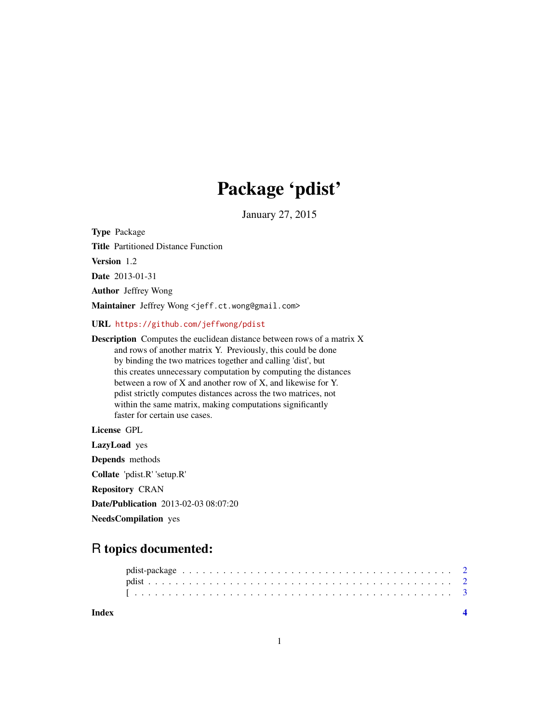## Package 'pdist'

January 27, 2015

Type Package

Title Partitioned Distance Function

Version 1.2

Date 2013-01-31

Author Jeffrey Wong

Maintainer Jeffrey Wong <jeff.ct.wong@gmail.com>

URL <https://github.com/jeffwong/pdist>

Description Computes the euclidean distance between rows of a matrix X and rows of another matrix Y. Previously, this could be done by binding the two matrices together and calling 'dist', but this creates unnecessary computation by computing the distances between a row of X and another row of X, and likewise for Y. pdist strictly computes distances across the two matrices, not within the same matrix, making computations significantly faster for certain use cases.

License GPL

LazyLoad yes Depends methods Collate 'pdist.R' 'setup.R' Repository CRAN Date/Publication 2013-02-03 08:07:20 NeedsCompilation yes

### R topics documented:

**Index** [4](#page-3-0)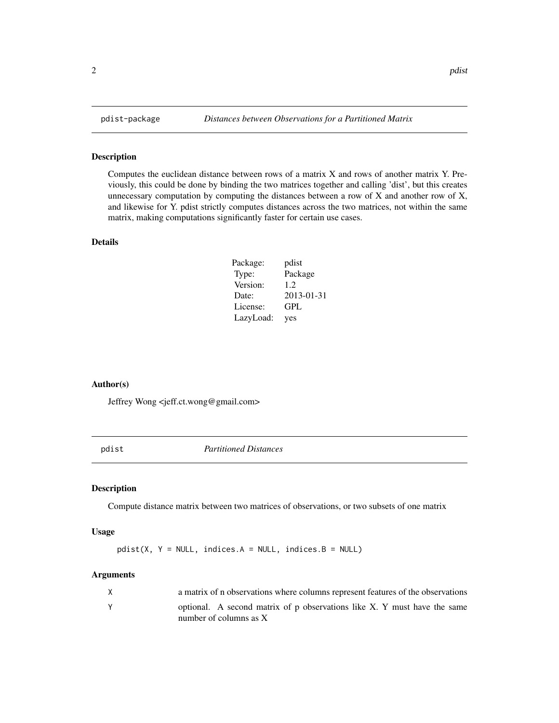#### Description

Computes the euclidean distance between rows of a matrix X and rows of another matrix Y. Previously, this could be done by binding the two matrices together and calling 'dist', but this creates unnecessary computation by computing the distances between a row of X and another row of X, and likewise for Y. pdist strictly computes distances across the two matrices, not within the same matrix, making computations significantly faster for certain use cases.

#### Details

| Package:  | pdist      |
|-----------|------------|
| Type:     | Package    |
| Version:  | 1.2.       |
| Date:     | 2013-01-31 |
| License:  | GPL        |
| LazyLoad: | yes        |

#### Author(s)

Jeffrey Wong <jeff.ct.wong@gmail.com>

pdist *Partitioned Distances*

#### Description

Compute distance matrix between two matrices of observations, or two subsets of one matrix

#### Usage

 $pdist(X, Y = NULL, indices.A = NULL, indices.B = NULL)$ 

#### Arguments

| X | a matrix of n observations where columns represent features of the observations                      |
|---|------------------------------------------------------------------------------------------------------|
|   | optional. A second matrix of p observations like X. Y must have the same<br>number of columns as $X$ |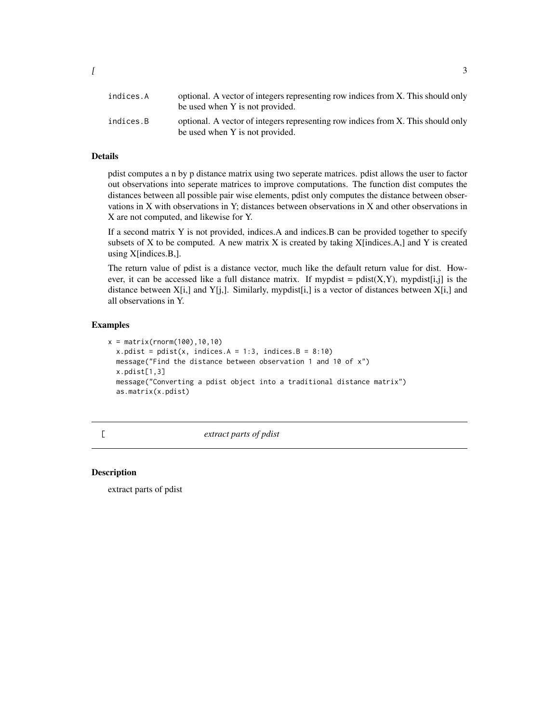#### <span id="page-2-0"></span>Details

pdist computes a n by p distance matrix using two seperate matrices. pdist allows the user to factor out observations into seperate matrices to improve computations. The function dist computes the distances between all possible pair wise elements, pdist only computes the distance between observations in X with observations in Y; distances between observations in X and other observations in X are not computed, and likewise for Y.

If a second matrix Y is not provided, indices.A and indices.B can be provided together to specify subsets of X to be computed. A new matrix X is created by taking  $X$ [indices.A,] and Y is created using X[indices.B,].

The return value of pdist is a distance vector, much like the default return value for dist. However, it can be accessed like a full distance matrix. If mypdist = pdist $(X, Y)$ , mypdist[i,j] is the distance between  $X[i, j]$  and  $Y[i, j]$ . Similarly, mypdist $[i, j]$  is a vector of distances between  $X[i, j]$  and all observations in Y.

#### Examples

```
x = matrix(rnorm(100), 10, 10)x.pdist = pdist(x, indices.A = 1:3, indices.B = 8:10)message("Find the distance between observation 1 and 10 of x")
x.pdist[1,3]
message("Converting a pdist object into a traditional distance matrix")
as.matrix(x.pdist)
```
[ *extract parts of pdist*

#### Description

extract parts of pdist